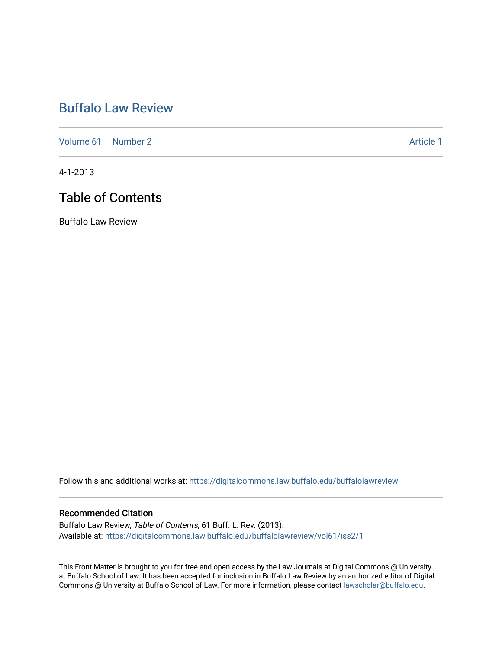## [Buffalo Law Review](https://digitalcommons.law.buffalo.edu/buffalolawreview)

[Volume 61](https://digitalcommons.law.buffalo.edu/buffalolawreview/vol61) [Number 2](https://digitalcommons.law.buffalo.edu/buffalolawreview/vol61/iss2) Article 1

4-1-2013

## Table of Contents

Buffalo Law Review

Follow this and additional works at: [https://digitalcommons.law.buffalo.edu/buffalolawreview](https://digitalcommons.law.buffalo.edu/buffalolawreview?utm_source=digitalcommons.law.buffalo.edu%2Fbuffalolawreview%2Fvol61%2Fiss2%2F1&utm_medium=PDF&utm_campaign=PDFCoverPages) 

#### Recommended Citation

Buffalo Law Review, Table of Contents, 61 Buff. L. Rev. (2013). Available at: [https://digitalcommons.law.buffalo.edu/buffalolawreview/vol61/iss2/1](https://digitalcommons.law.buffalo.edu/buffalolawreview/vol61/iss2/1?utm_source=digitalcommons.law.buffalo.edu%2Fbuffalolawreview%2Fvol61%2Fiss2%2F1&utm_medium=PDF&utm_campaign=PDFCoverPages) 

This Front Matter is brought to you for free and open access by the Law Journals at Digital Commons @ University at Buffalo School of Law. It has been accepted for inclusion in Buffalo Law Review by an authorized editor of Digital Commons @ University at Buffalo School of Law. For more information, please contact [lawscholar@buffalo.edu](mailto:lawscholar@buffalo.edu).